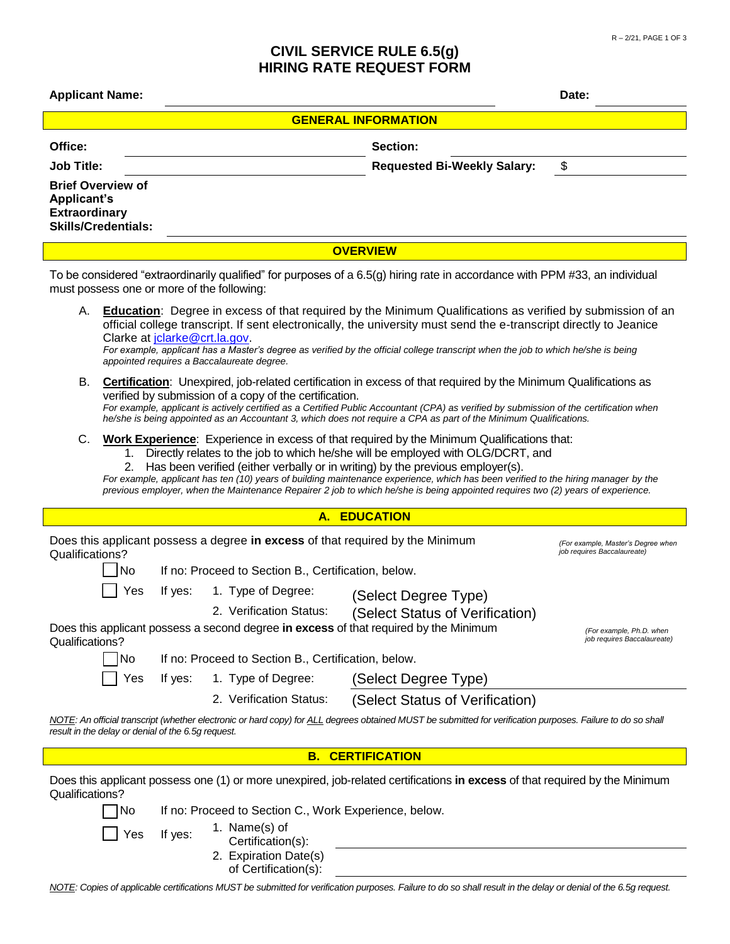## **CIVIL SERVICE RULE 6.5(g) HIRING RATE REQUEST FORM**

| UIVIL JENVIUE NULE 0.J(Y)<br><b>HIRING RATE REQUEST FORM</b>                                                                                                                                                                                                                                                                                                                                                                                                                                                                                                   |                                                                                                                                                                                                                                                                                                                                                                                                                                                  |                                                     |                                                                                                                                                                                                                                                                                                                                                                              |       |  |  |
|----------------------------------------------------------------------------------------------------------------------------------------------------------------------------------------------------------------------------------------------------------------------------------------------------------------------------------------------------------------------------------------------------------------------------------------------------------------------------------------------------------------------------------------------------------------|--------------------------------------------------------------------------------------------------------------------------------------------------------------------------------------------------------------------------------------------------------------------------------------------------------------------------------------------------------------------------------------------------------------------------------------------------|-----------------------------------------------------|------------------------------------------------------------------------------------------------------------------------------------------------------------------------------------------------------------------------------------------------------------------------------------------------------------------------------------------------------------------------------|-------|--|--|
| <b>Applicant Name:</b>                                                                                                                                                                                                                                                                                                                                                                                                                                                                                                                                         |                                                                                                                                                                                                                                                                                                                                                                                                                                                  |                                                     |                                                                                                                                                                                                                                                                                                                                                                              | Date: |  |  |
| <b>GENERAL INFORMATION</b>                                                                                                                                                                                                                                                                                                                                                                                                                                                                                                                                     |                                                                                                                                                                                                                                                                                                                                                                                                                                                  |                                                     |                                                                                                                                                                                                                                                                                                                                                                              |       |  |  |
| Office:                                                                                                                                                                                                                                                                                                                                                                                                                                                                                                                                                        |                                                                                                                                                                                                                                                                                                                                                                                                                                                  |                                                     | Section:                                                                                                                                                                                                                                                                                                                                                                     |       |  |  |
| <b>Job Title:</b>                                                                                                                                                                                                                                                                                                                                                                                                                                                                                                                                              |                                                                                                                                                                                                                                                                                                                                                                                                                                                  |                                                     | <b>Requested Bi-Weekly Salary:</b>                                                                                                                                                                                                                                                                                                                                           | \$    |  |  |
| <b>Brief Overview of</b><br><b>Applicant's</b><br><b>Extraordinary</b><br><b>Skills/Credentials:</b>                                                                                                                                                                                                                                                                                                                                                                                                                                                           |                                                                                                                                                                                                                                                                                                                                                                                                                                                  |                                                     |                                                                                                                                                                                                                                                                                                                                                                              |       |  |  |
|                                                                                                                                                                                                                                                                                                                                                                                                                                                                                                                                                                |                                                                                                                                                                                                                                                                                                                                                                                                                                                  |                                                     | <b>OVERVIEW</b>                                                                                                                                                                                                                                                                                                                                                              |       |  |  |
| must possess one or more of the following:                                                                                                                                                                                                                                                                                                                                                                                                                                                                                                                     |                                                                                                                                                                                                                                                                                                                                                                                                                                                  |                                                     | To be considered "extraordinarily qualified" for purposes of a 6.5(g) hiring rate in accordance with PPM #33, an individual                                                                                                                                                                                                                                                  |       |  |  |
| А.                                                                                                                                                                                                                                                                                                                                                                                                                                                                                                                                                             | Clarke at jolarke@crt.la.gov.                                                                                                                                                                                                                                                                                                                                                                                                                    | appointed requires a Baccalaureate degree.          | <b>Education:</b> Degree in excess of that required by the Minimum Qualifications as verified by submission of an<br>official college transcript. If sent electronically, the university must send the e-transcript directly to Jeanice<br>For example, applicant has a Master's degree as verified by the official college transcript when the job to which he/she is being |       |  |  |
| В.                                                                                                                                                                                                                                                                                                                                                                                                                                                                                                                                                             | <b>Certification:</b> Unexpired, job-related certification in excess of that required by the Minimum Qualifications as<br>verified by submission of a copy of the certification.<br>For example, applicant is actively certified as a Certified Public Accountant (CPA) as verified by submission of the certification when<br>he/she is being appointed as an Accountant 3, which does not require a CPA as part of the Minimum Qualifications. |                                                     |                                                                                                                                                                                                                                                                                                                                                                              |       |  |  |
| C.<br><b>Work Experience:</b> Experience in excess of that required by the Minimum Qualifications that:<br>1. Directly relates to the job to which he/she will be employed with OLG/DCRT, and<br>Has been verified (either verbally or in writing) by the previous employer(s).<br>2.<br>For example, applicant has ten (10) years of building maintenance experience, which has been verified to the hiring manager by the<br>previous employer, when the Maintenance Repairer 2 job to which he/she is being appointed requires two (2) years of experience. |                                                                                                                                                                                                                                                                                                                                                                                                                                                  |                                                     |                                                                                                                                                                                                                                                                                                                                                                              |       |  |  |
| A. EDUCATION                                                                                                                                                                                                                                                                                                                                                                                                                                                                                                                                                   |                                                                                                                                                                                                                                                                                                                                                                                                                                                  |                                                     |                                                                                                                                                                                                                                                                                                                                                                              |       |  |  |
| Does this applicant possess a degree in excess of that required by the Minimum<br>(For example, Master's Degree when<br>job requires Baccalaureate)<br>Qualifications?                                                                                                                                                                                                                                                                                                                                                                                         |                                                                                                                                                                                                                                                                                                                                                                                                                                                  |                                                     |                                                                                                                                                                                                                                                                                                                                                                              |       |  |  |
|                                                                                                                                                                                                                                                                                                                                                                                                                                                                                                                                                                | No.                                                                                                                                                                                                                                                                                                                                                                                                                                              | If no: Proceed to Section B., Certification, below. |                                                                                                                                                                                                                                                                                                                                                                              |       |  |  |
|                                                                                                                                                                                                                                                                                                                                                                                                                                                                                                                                                                | If yes:<br>Yes                                                                                                                                                                                                                                                                                                                                                                                                                                   | 1. Type of Degree:<br>2. Verification Status:       | (Select Degree Type)                                                                                                                                                                                                                                                                                                                                                         |       |  |  |
| (Select Status of Verification)<br>Does this applicant possess a second degree in excess of that required by the Minimum<br>(For example, Ph.D. when<br>job requires Baccalaureate)<br>Qualifications?                                                                                                                                                                                                                                                                                                                                                         |                                                                                                                                                                                                                                                                                                                                                                                                                                                  |                                                     |                                                                                                                                                                                                                                                                                                                                                                              |       |  |  |
|                                                                                                                                                                                                                                                                                                                                                                                                                                                                                                                                                                | No                                                                                                                                                                                                                                                                                                                                                                                                                                               | If no: Proceed to Section B., Certification, below. |                                                                                                                                                                                                                                                                                                                                                                              |       |  |  |
|                                                                                                                                                                                                                                                                                                                                                                                                                                                                                                                                                                | If yes:<br>Yes                                                                                                                                                                                                                                                                                                                                                                                                                                   | 1. Type of Degree:                                  | (Select Degree Type)                                                                                                                                                                                                                                                                                                                                                         |       |  |  |
|                                                                                                                                                                                                                                                                                                                                                                                                                                                                                                                                                                |                                                                                                                                                                                                                                                                                                                                                                                                                                                  | 2. Verification Status:                             | (Select Status of Verification)                                                                                                                                                                                                                                                                                                                                              |       |  |  |

*NOTE: An official transcript (whether electronic or hard copy) for ALL degrees obtained MUST be submitted for verification purposes. Failure to do so shall result in the delay or denial of the 6.5g request.*

## **B. CERTIFICATION**

Does this applicant possess one (1) or more unexpired, job-related certifications **in excess** of that required by the Minimum Qualifications?



Yes If yes: 1. Name(s) of Certification(s):

2. Expiration Date(s)

of Certification(s):

*NOTE: Copies of applicable certifications MUST be submitted for verification purposes. Failure to do so shall result in the delay or denial of the 6.5g request.*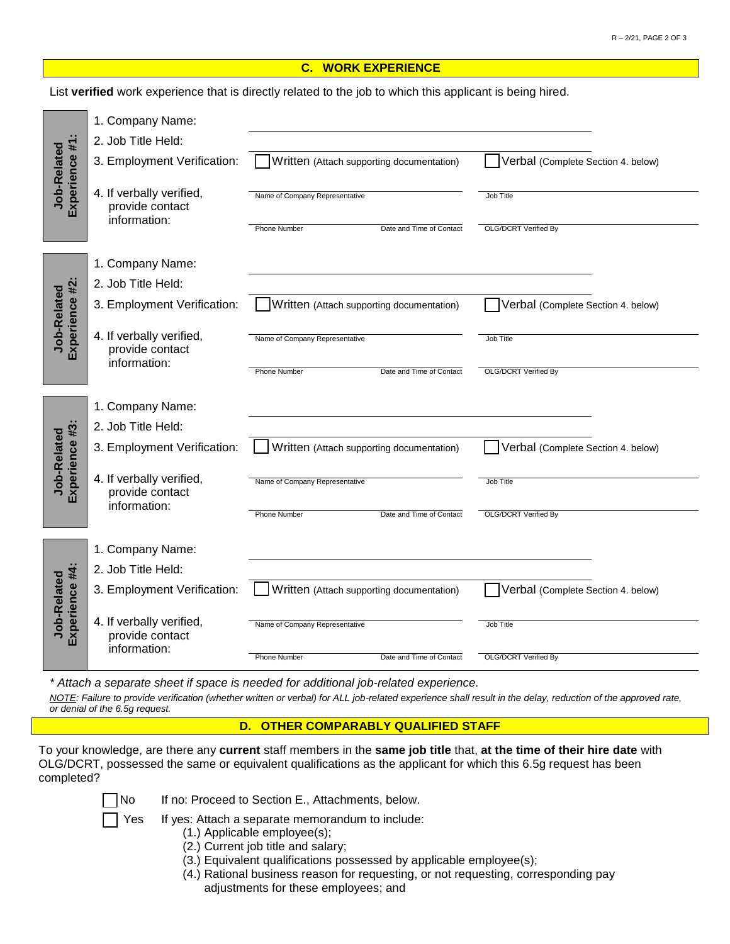## **C. WORK EXPERIENCE**

List **verified** work experience that is directly related to the job to which this applicant is being hired.

| Experience #1:<br>Job-Related | 1. Company Name:<br>2. Job Title Held:<br>3. Employment Verification:<br>4. If verbally verified,<br>provide contact<br>information: | Written (Attach supporting documentation)<br>Name of Company Representative<br><b>Phone Number</b><br>Date and Time of Contact | Verbal (Complete Section 4. below)<br>Job Title<br><b>OLG/DCRT Verified By</b>        |
|-------------------------------|--------------------------------------------------------------------------------------------------------------------------------------|--------------------------------------------------------------------------------------------------------------------------------|---------------------------------------------------------------------------------------|
| Experience #2:<br>Job-Related | 1. Company Name:<br>2. Job Title Held:<br>3. Employment Verification:<br>4. If verbally verified,<br>provide contact<br>information: | Written (Attach supporting documentation)<br>Name of Company Representative<br><b>Phone Number</b><br>Date and Time of Contact | Verbal (Complete Section 4. below)<br><b>Job Title</b><br><b>OLG/DCRT Verified By</b> |
| Experience #3:<br>Job-Related | 1. Company Name:<br>2. Job Title Held:<br>3. Employment Verification:<br>4. If verbally verified,<br>provide contact<br>information: | Written (Attach supporting documentation)<br>Name of Company Representative<br>Date and Time of Contact<br><b>Phone Number</b> | Verbal (Complete Section 4. below)<br><b>Job Title</b><br><b>OLG/DCRT Verified By</b> |
| Experience #4:<br>Job-Related | 1. Company Name:<br>2. Job Title Held:<br>3. Employment Verification:<br>4. If verbally verified,<br>provide contact<br>information: | Written (Attach supporting documentation)<br>Name of Company Representative<br><b>Phone Number</b><br>Date and Time of Contact | Verbal (Complete Section 4. below)<br>Job Title<br><b>OLG/DCRT Verified By</b>        |

*\* Attach a separate sheet if space is needed for additional job-related experience.*

*NOTE: Failure to provide verification (whether written or verbal) for ALL job-related experience shall result in the delay, reduction of the approved rate, or denial of the 6.5g request.*

## **D. OTHER COMPARABLY QUALIFIED STAFF**

To your knowledge, are there any **current** staff members in the **same job title** that, **at the time of their hire date** with OLG/DCRT, possessed the same or equivalent qualifications as the applicant for which this 6.5g request has been completed?

- No If no: Proceed to Section E., Attachments, below.
- Yes If yes: Attach a separate memorandum to include:
	- (1.) Applicable employee(s);
	- (2.) Current job title and salary;
	- (3.) Equivalent qualifications possessed by applicable employee(s);
	- (4.) Rational business reason for requesting, or not requesting, corresponding pay adjustments for these employees; and